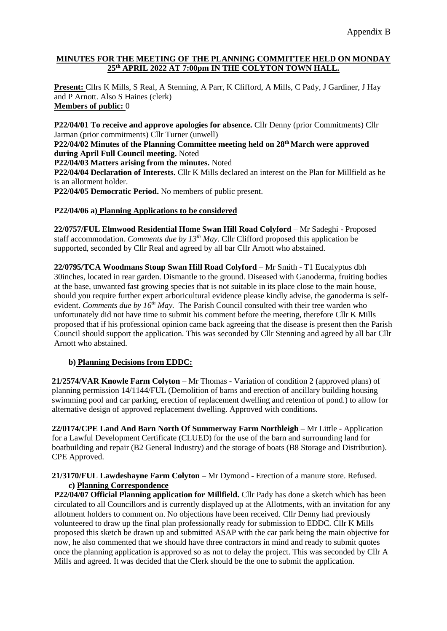## **MINUTES FOR THE MEETING OF THE PLANNING COMMITTEE HELD ON MONDAY 25th APRIL 2022 AT 7:00pm IN THE COLYTON TOWN HALL.**

**Present:** Cllrs K Mills, S Real, A Stenning, A Parr, K Clifford, A Mills, C Pady, J Gardiner, J Hay and P Arnott. Also S Haines (clerk) **Members of public:** 0

**P22/04/01 To receive and approve apologies for absence.** Cllr Denny (prior Commitments) Cllr Jarman (prior commitments) Cllr Turner (unwell)

**P22/04/02 Minutes of the Planning Committee meeting held on 28th March were approved during April Full Council meeting.** Noted

**P22/04/03 Matters arising from the minutes.** Noted

**P22/04/04 Declaration of Interests.** Cllr K Mills declared an interest on the Plan for Millfield as he is an allotment holder.

**P22/04/05 Democratic Period.** No members of public present.

## **P22/04/06 a) Planning Applications to be considered**

**22/0757/FUL Elmwood Residential Home Swan Hill Road Colyford** – Mr Sadeghi - Proposed staff accommodation. *Comments due by 13th May.* Cllr Clifford proposed this application be supported, seconded by Cllr Real and agreed by all bar Cllr Arnott who abstained.

**22/0795/TCA Woodmans Stoup Swan Hill Road Colyford** – Mr Smith - T1 Eucalyptus dbh 30inches, located in rear garden. Dismantle to the ground. Diseased with Ganoderma, fruiting bodies at the base, unwanted fast growing species that is not suitable in its place close to the main house, should you require further expert arboricultural evidence please kindly advise, the ganoderma is selfevident. *Comments due by 16th May.* The Parish Council consulted with their tree warden who unfortunately did not have time to submit his comment before the meeting, therefore Cllr K Mills proposed that if his professional opinion came back agreeing that the disease is present then the Parish Council should support the application. This was seconded by Cllr Stenning and agreed by all bar Cllr Arnott who abstained.

## **b) Planning Decisions from EDDC:**

**21/2574/VAR Knowle Farm Colyton** – Mr Thomas - Variation of condition 2 (approved plans) of planning permission 14/1144/FUL (Demolition of barns and erection of ancillary building housing swimming pool and car parking, erection of replacement dwelling and retention of pond.) to allow for alternative design of approved replacement dwelling. Approved with conditions.

**22/0174/CPE Land And Barn North Of Summerway Farm Northleigh** – Mr Little - Application for a Lawful Development Certificate (CLUED) for the use of the barn and surrounding land for boatbuilding and repair (B2 General Industry) and the storage of boats (B8 Storage and Distribution). CPE Approved.

**21/3170/FUL Lawdeshayne Farm Colyton** – Mr Dymond - Erection of a manure store. Refused. **c) Planning Correspondence**

**P22/04/07 Official Planning application for Millfield.** Cllr Pady has done a sketch which has been circulated to all Councillors and is currently displayed up at the Allotments, with an invitation for any allotment holders to comment on. No objections have been received. Cllr Denny had previously volunteered to draw up the final plan professionally ready for submission to EDDC. Cllr K Mills proposed this sketch be drawn up and submitted ASAP with the car park being the main objective for now, he also commented that we should have three contractors in mind and ready to submit quotes once the planning application is approved so as not to delay the project. This was seconded by Cllr A Mills and agreed. It was decided that the Clerk should be the one to submit the application.